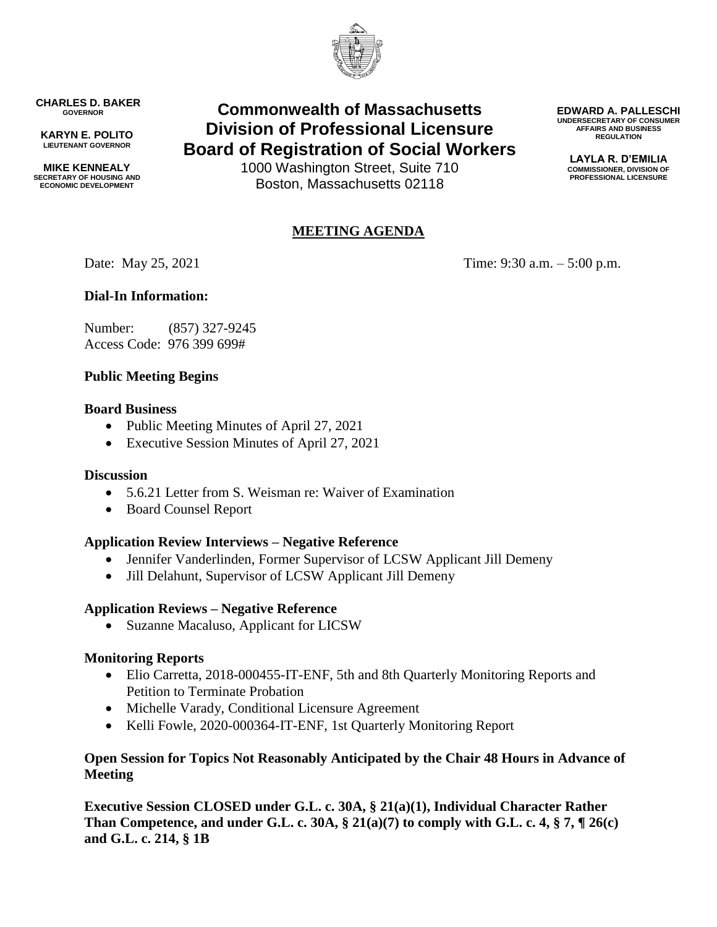

**CHARLES D. BAKER GOVERNOR**

**KARYN E. POLITO LIEUTENANT GOVERNOR**

**MIKE KENNEALY SECRETARY OF HOUSING AND ECONOMIC DEVELOPMENT**

# **Commonwealth of Massachusetts Division of Professional Licensure Board of Registration of Social Workers**

1000 Washington Street, Suite 710 Boston, Massachusetts 02118

# **MEETING AGENDA**

Date: May 25, 2021 Time: 9:30 a.m. – 5:00 p.m.

# **Dial-In Information:**

Number: (857) 327-9245 Access Code: 976 399 699#

## **Public Meeting Begins**

#### **Board Business**

- Public Meeting Minutes of April 27, 2021
- Executive Session Minutes of April 27, 2021

#### **Discussion**

- 5.6.21 Letter from S. Weisman re: Waiver of Examination
- Board Counsel Report

#### **Application Review Interviews – Negative Reference**

- Jennifer Vanderlinden, Former Supervisor of LCSW Applicant Jill Demeny
- Jill Delahunt, Supervisor of LCSW Applicant Jill Demeny

#### **Application Reviews – Negative Reference**

• Suzanne Macaluso, Applicant for LICSW

#### **Monitoring Reports**

- Elio Carretta, 2018-000455-IT-ENF, 5th and 8th Quarterly Monitoring Reports and Petition to Terminate Probation
- Michelle Varady, Conditional Licensure Agreement
- Kelli Fowle, 2020-000364-IT-ENF, 1st Quarterly Monitoring Report

## **Open Session for Topics Not Reasonably Anticipated by the Chair 48 Hours in Advance of Meeting**

**Executive Session CLOSED under G.L. c. 30A, § 21(a)(1), Individual Character Rather Than Competence, and under G.L. c. 30A, § 21(a)(7) to comply with G.L. c. 4, § 7, ¶ 26(c) and G.L. c. 214, § 1B**

**EDWARD A. PALLESCHI UNDERSECRETARY OF CONSUMER AFFAIRS AND BUSINESS REGULATION**

> **LAYLA R. D'EMILIA COMMISSIONER, DIVISION OF PROFESSIONAL LICENSURE**